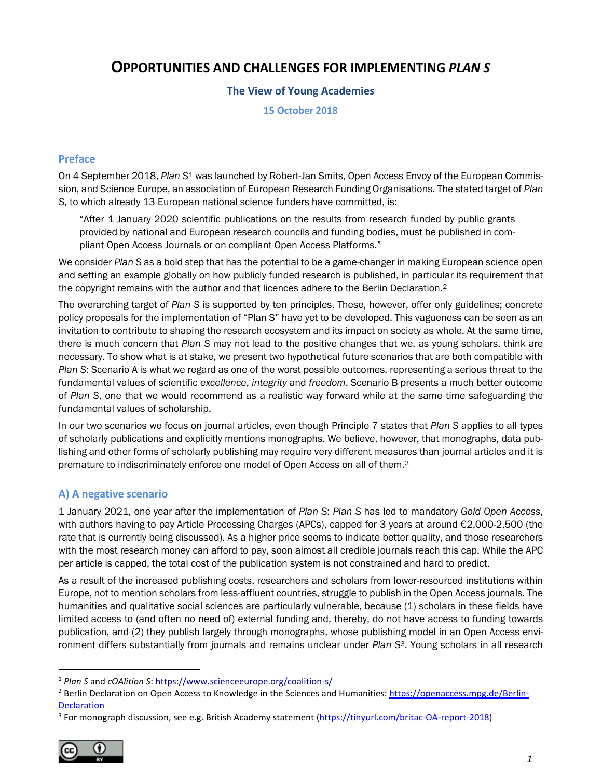# **OPPORTUNITIES AND CHALLENGES FOR IMPLEMENTING** *PLAN S*

# **The View of Young Academies**

**15 October 2018**

# **Preface**

On 4 September 2018, *Plan S*[1](#page-0-1) was launched by Robert-Jan Smits, Open Access Envoy of the European Commission, and Science Europe, an association of European Research Funding Organisations. The stated target of *Plan S*, to which already 13 European national science funders have committed, is:

"After 1 January 2020 scientific publications on the results from research funded by public grants provided by national and European research councils and funding bodies, must be published in compliant Open Access Journals or on compliant Open Access Platforms."

We consider *Plan S* as a bold step that has the potential to be a game-changer in making European science open and setting an example globally on how publicly funded research is published, in particular its requirement that the copyright remains with the author and that licences adhere to the Berlin Declaration.<sup>[2](#page-0-2)</sup>

The overarching target of *Plan S* is supported by ten principles. These, however, offer only guidelines; concrete policy proposals for the implementation of "Plan S" have yet to be developed. This vagueness can be seen as an invitation to contribute to shaping the research ecosystem and its impact on society as whole. At the same time, there is much concern that *Plan S* may not lead to the positive changes that we, as young scholars, think are necessary. To show what is at stake, we present two hypothetical future scenarios that are both compatible with *Plan S*: Scenario A is what we regard as one of the worst possible outcomes, representing a serious threat to the fundamental values of scientific *excellence*, *integrity* and *freedom*. Scenario B presents a much better outcome of *Plan S*, one that we would recommend as a realistic way forward while at the same time safeguarding the fundamental values of scholarship.

In our two scenarios we focus on journal articles, even though Principle 7 states that *Plan S* applies to all types of scholarly publications and explicitly mentions monographs. We believe, however, that monographs, data publishing and other forms of scholarly publishing may require very different measures than journal articles and it is premature to indiscriminately enforce one model of Open Access on all of them.<sup>[3](#page-0-3)</sup>

# <span id="page-0-0"></span>**A) A negative scenario**

1 January 2021, one year after the implementation of *Plan S*: *Plan S* has led to mandatory *Gold Open Access*, with authors having to pay Article Processing Charges (APCs), capped for 3 years at around €2,000-2,500 (the rate that is currently being discussed). As a higher price seems to indicate better quality, and those researchers with the most research money can afford to pay, soon almost all credible journals reach this cap. While the APC per article is capped, the total cost of the publication system is not constrained and hard to predict.

As a result of the increased publishing costs, researchers and scholars from lower-resourced institutions within Europe, not to mention scholars from less-affluent countries, struggle to publish in the Open Access journals. The humanities and qualitative social sciences are particularly vulnerable, because (1) scholars in these fields have limited access to (and often no need of) external funding and, thereby, do not have access to funding towards publication, and (2) they publish largely through monographs, whose publishing model in an Open Access environment differs substantially from journals and remains unclear under *Plan S*[3.](#page-0-0) Young scholars in all research

<span id="page-0-3"></span><sup>&</sup>lt;sup>3</sup> For monograph discussion, see e.g. British Academy statement [\(https://tinyurl.com/britac-OA-report-2018\)](https://tinyurl.com/britac-OA-report-2018)



<span id="page-0-1"></span> <sup>1</sup> *Plan S* and *cOAlition S*:<https://www.scienceeurope.org/coalition-s/>

<span id="page-0-2"></span><sup>&</sup>lt;sup>2</sup> Berlin Declaration on Open Access to Knowledge in the Sciences and Humanities: [https://openaccess.mpg.de/Berlin-](https://openaccess.mpg.de/Berlin-Declaration)**[Declaration](https://openaccess.mpg.de/Berlin-Declaration)**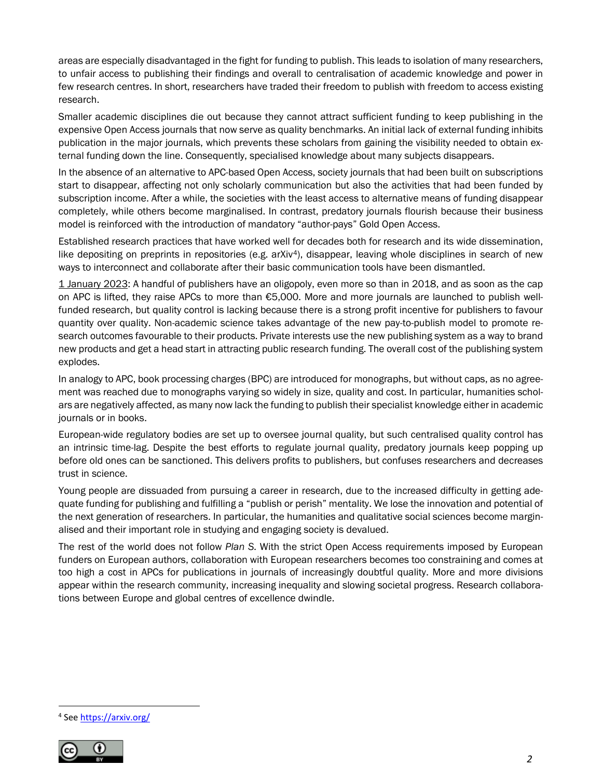areas are especially disadvantaged in the fight for funding to publish. This leads to isolation of many researchers, to unfair access to publishing their findings and overall to centralisation of academic knowledge and power in few research centres. In short, researchers have traded their freedom to publish with freedom to access existing research.

Smaller academic disciplines die out because they cannot attract sufficient funding to keep publishing in the expensive Open Access journals that now serve as quality benchmarks. An initial lack of external funding inhibits publication in the major journals, which prevents these scholars from gaining the visibility needed to obtain external funding down the line. Consequently, specialised knowledge about many subjects disappears.

In the absence of an alternative to APC-based Open Access, society journals that had been built on subscriptions start to disappear, affecting not only scholarly communication but also the activities that had been funded by subscription income. After a while, the societies with the least access to alternative means of funding disappear completely, while others become marginalised. In contrast, predatory journals flourish because their business model is reinforced with the introduction of mandatory "author-pays" Gold Open Access.

<span id="page-1-1"></span>Established research practices that have worked well for decades both for research and its wide dissemination, like depositing on preprints in repositories (e.g. arXiv<sup>[4](#page-1-0)</sup>), disappear, leaving whole disciplines in search of new ways to interconnect and collaborate after their basic communication tools have been dismantled.

1 January 2023: A handful of publishers have an oligopoly, even more so than in 2018, and as soon as the cap on APC is lifted, they raise APCs to more than €5,000. More and more journals are launched to publish wellfunded research, but quality control is lacking because there is a strong profit incentive for publishers to favour quantity over quality. Non-academic science takes advantage of the new pay-to-publish model to promote research outcomes favourable to their products. Private interests use the new publishing system as a way to brand new products and get a head start in attracting public research funding. The overall cost of the publishing system explodes.

In analogy to APC, book processing charges (BPC) are introduced for monographs, but without caps, as no agreement was reached due to monographs varying so widely in size, quality and cost. In particular, humanities scholars are negatively affected, as many now lack the funding to publish their specialist knowledge either in academic journals or in books.

European-wide regulatory bodies are set up to oversee journal quality, but such centralised quality control has an intrinsic time-lag. Despite the best efforts to regulate journal quality, predatory journals keep popping up before old ones can be sanctioned. This delivers profits to publishers, but confuses researchers and decreases trust in science.

Young people are dissuaded from pursuing a career in research, due to the increased difficulty in getting adequate funding for publishing and fulfilling a "publish or perish" mentality. We lose the innovation and potential of the next generation of researchers. In particular, the humanities and qualitative social sciences become marginalised and their important role in studying and engaging society is devalued.

The rest of the world does not follow *Plan S*. With the strict Open Access requirements imposed by European funders on European authors, collaboration with European researchers becomes too constraining and comes at too high a cost in APCs for publications in journals of increasingly doubtful quality. More and more divisions appear within the research community, increasing inequality and slowing societal progress. Research collaborations between Europe and global centres of excellence dwindle.

<span id="page-1-0"></span> <sup>4</sup> See<https://arxiv.org/>

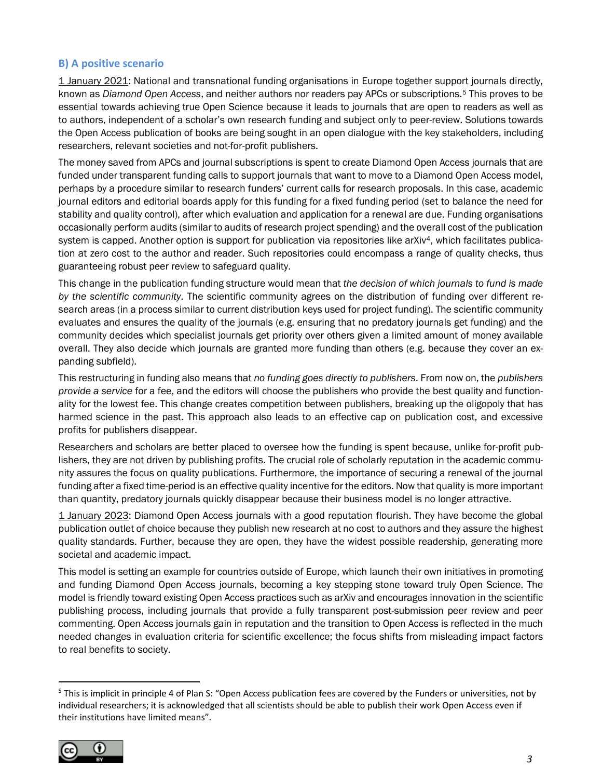### **B) A positive scenario**

1 January 2021: National and transnational funding organisations in Europe together support journals directly, known as *Diamond Open Access*, and neither authors nor readers pay APCs or subscriptions.[5](#page-2-0) This proves to be essential towards achieving true Open Science because it leads to journals that are open to readers as well as to authors, independent of a scholar's own research funding and subject only to peer-review. Solutions towards the Open Access publication of books are being sought in an open dialogue with the key stakeholders, including researchers, relevant societies and not-for-profit publishers.

The money saved from APCs and journal subscriptions is spent to create Diamond Open Access journals that are funded under transparent funding calls to support journals that want to move to a Diamond Open Access model, perhaps by a procedure similar to research funders' current calls for research proposals. In this case, academic journal editors and editorial boards apply for this funding for a fixed funding period (set to balance the need for stability and quality control), after which evaluation and application for a renewal are due. Funding organisations occasionally perform audits (similar to audits of research project spending) and the overall cost of the publication system is capped. Another option is support for publication via repositories like arXiv<sup>4</sup>, which facilitates publication at zero cost to the author and reader. Such repositories could encompass a range of quality checks, thus guaranteeing robust peer review to safeguard quality.

This change in the publication funding structure would mean that *the decision of which journals to fund is made by the scientific community*. The scientific community agrees on the distribution of funding over different research areas (in a process similar to current distribution keys used for project funding). The scientific community evaluates and ensures the quality of the journals (e.g. ensuring that no predatory journals get funding) and the community decides which specialist journals get priority over others given a limited amount of money available overall. They also decide which journals are granted more funding than others (e.g. because they cover an expanding subfield).

This restructuring in funding also means that *no funding goes directly to publishers*. From now on, the *publishers provide a service* for a fee, and the editors will choose the publishers who provide the best quality and functionality for the lowest fee. This change creates competition between publishers, breaking up the oligopoly that has harmed science in the past. This approach also leads to an effective cap on publication cost, and excessive profits for publishers disappear.

Researchers and scholars are better placed to oversee how the funding is spent because, unlike for-profit publishers, they are not driven by publishing profits. The crucial role of scholarly reputation in the academic community assures the focus on quality publications. Furthermore, the importance of securing a renewal of the journal funding after a fixed time-period is an effective quality incentive for the editors. Now that quality is more important than quantity, predatory journals quickly disappear because their business model is no longer attractive.

1 January 2023: Diamond Open Access journals with a good reputation flourish. They have become the global publication outlet of choice because they publish new research at no cost to authors and they assure the highest quality standards. Further, because they are open, they have the widest possible readership, generating more societal and academic impact.

This model is setting an example for countries outside of Europe, which launch their own initiatives in promoting and funding Diamond Open Access journals, becoming a key stepping stone toward truly Open Science. The model is friendly toward existing Open Access practices such as arXiv and encourages innovation in the scientific publishing process, including journals that provide a fully transparent post-submission peer review and peer commenting. Open Access journals gain in reputation and the transition to Open Access is reflected in the much needed changes in evaluation criteria for scientific excellence; the focus shifts from misleading impact factors to real benefits to society.

<span id="page-2-0"></span> $5$  This is implicit in principle 4 of Plan S: "Open Access publication fees are covered by the Funders or universities, not by individual researchers; it is acknowledged that all scientists should be able to publish their work Open Access even if their institutions have limited means".